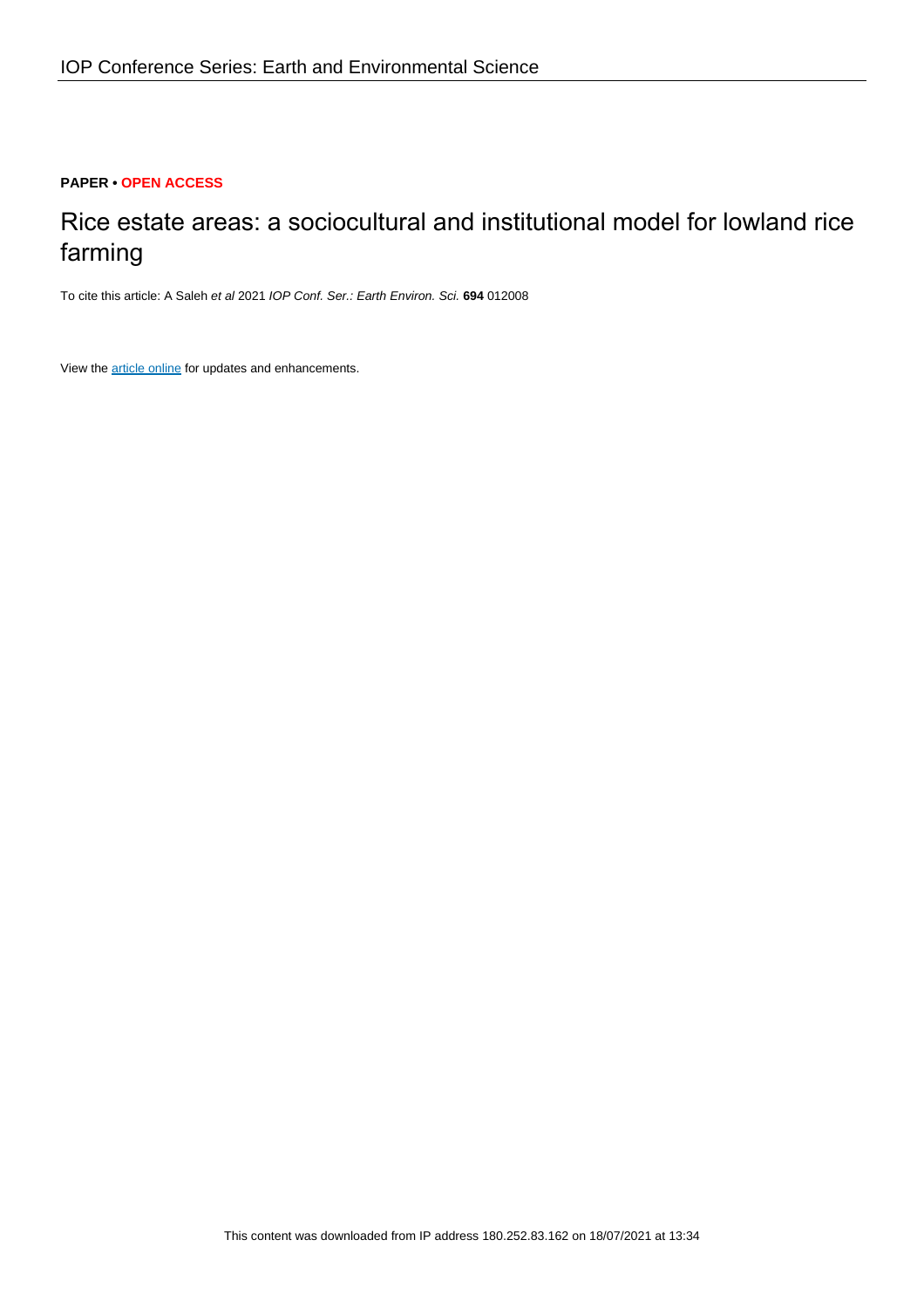## **PAPER • OPEN ACCESS**

# Rice estate areas: a sociocultural and institutional model for lowland rice farming

To cite this article: A Saleh et al 2021 IOP Conf. Ser.: Earth Environ. Sci. **694** 012008

View the **[article online](https://doi.org/10.1088/1755-1315/694/1/012008)** for updates and enhancements.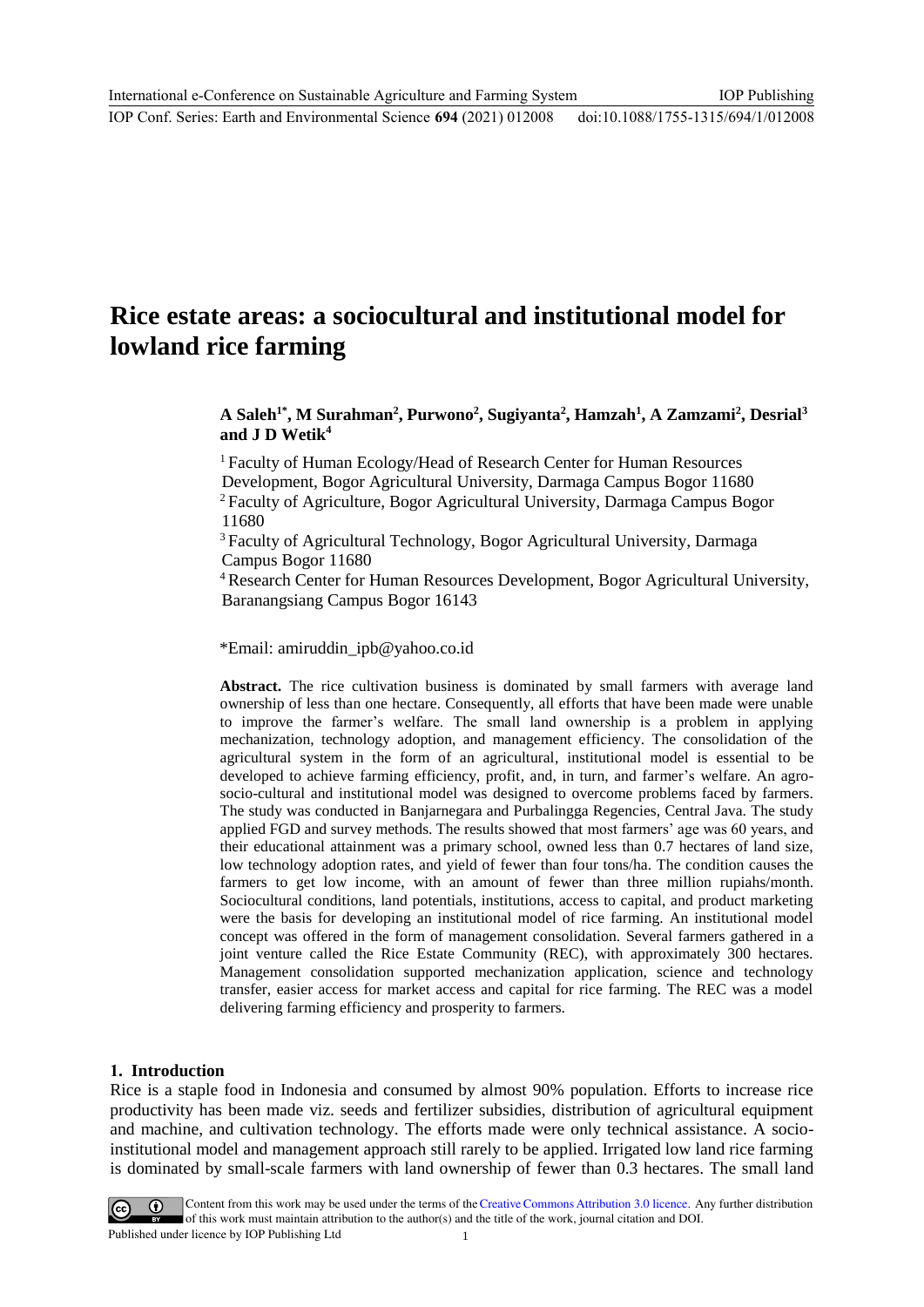## **Rice estate areas: a sociocultural and institutional model for lowland rice farming**

## **A Saleh1\* , M Surahman<sup>2</sup> , Purwono<sup>2</sup> , Sugiyanta<sup>2</sup> , Hamzah<sup>1</sup> , A Zamzami<sup>2</sup> , Desrial<sup>3</sup> and J D Wetik<sup>4</sup>**

<sup>1</sup> Faculty of Human Ecology/Head of Research Center for Human Resources Development, Bogor Agricultural University, Darmaga Campus Bogor 11680 <sup>2</sup> Faculty of Agriculture, Bogor Agricultural University, Darmaga Campus Bogor 11680

<sup>3</sup> Faculty of Agricultural Technology, Bogor Agricultural University, Darmaga Campus Bogor 11680

<sup>4</sup>Research Center for Human Resources Development, Bogor Agricultural University, Baranangsiang Campus Bogor 16143

\*Email: amiruddin\_ipb@yahoo.co.id

**Abstract.** The rice cultivation business is dominated by small farmers with average land ownership of less than one hectare. Consequently, all efforts that have been made were unable to improve the farmer's welfare. The small land ownership is a problem in applying mechanization, technology adoption, and management efficiency. The consolidation of the agricultural system in the form of an agricultural, institutional model is essential to be developed to achieve farming efficiency, profit, and, in turn, and farmer's welfare. An agrosocio-cultural and institutional model was designed to overcome problems faced by farmers. The study was conducted in Banjarnegara and Purbalingga Regencies, Central Java. The study applied FGD and survey methods. The results showed that most farmers' age was 60 years, and their educational attainment was a primary school, owned less than 0.7 hectares of land size, low technology adoption rates, and yield of fewer than four tons/ha. The condition causes the farmers to get low income, with an amount of fewer than three million rupiahs/month. Sociocultural conditions, land potentials, institutions, access to capital, and product marketing were the basis for developing an institutional model of rice farming. An institutional model concept was offered in the form of management consolidation. Several farmers gathered in a joint venture called the Rice Estate Community (REC), with approximately 300 hectares. Management consolidation supported mechanization application, science and technology transfer, easier access for market access and capital for rice farming. The REC was a model delivering farming efficiency and prosperity to farmers.

#### **1. Introduction**

Rice is a staple food in Indonesia and consumed by almost 90% population. Efforts to increase rice productivity has been made viz. seeds and fertilizer subsidies, distribution of agricultural equipment and machine, and cultivation technology. The efforts made were only technical assistance. A socioinstitutional model and management approach still rarely to be applied. Irrigated low land rice farming is dominated by small-scale farmers with land ownership of fewer than 0.3 hectares. The small land

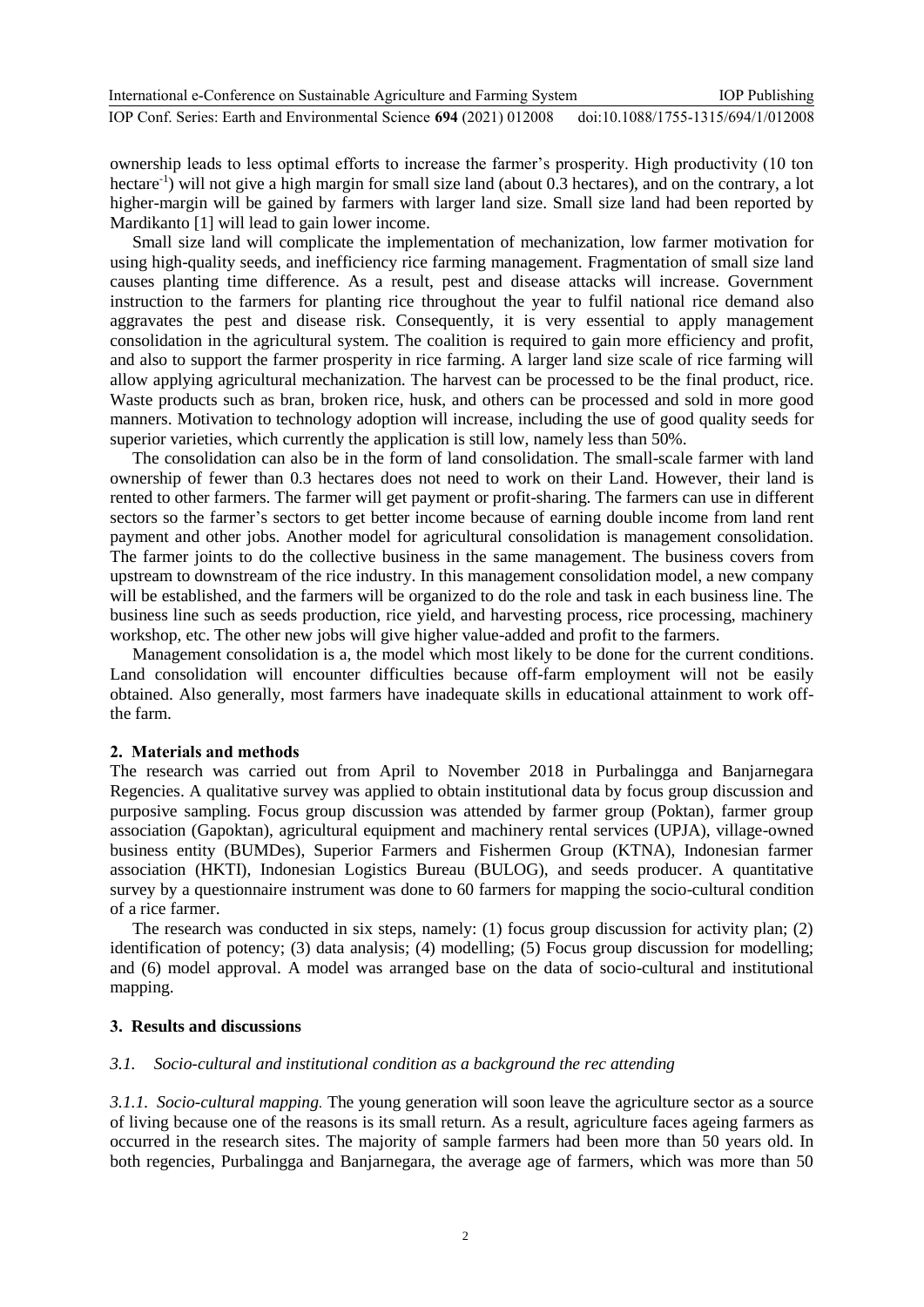ownership leads to less optimal efforts to increase the farmer's prosperity. High productivity (10 ton hectare<sup>-1</sup>) will not give a high margin for small size land (about 0.3 hectares), and on the contrary, a lot higher-margin will be gained by farmers with larger land size. Small size land had been reported by Mardikanto [1] will lead to gain lower income.

Small size land will complicate the implementation of mechanization, low farmer motivation for using high-quality seeds, and inefficiency rice farming management. Fragmentation of small size land causes planting time difference. As a result, pest and disease attacks will increase. Government instruction to the farmers for planting rice throughout the year to fulfil national rice demand also aggravates the pest and disease risk. Consequently, it is very essential to apply management consolidation in the agricultural system. The coalition is required to gain more efficiency and profit, and also to support the farmer prosperity in rice farming. A larger land size scale of rice farming will allow applying agricultural mechanization. The harvest can be processed to be the final product, rice. Waste products such as bran, broken rice, husk, and others can be processed and sold in more good manners. Motivation to technology adoption will increase, including the use of good quality seeds for superior varieties, which currently the application is still low, namely less than 50%.

The consolidation can also be in the form of land consolidation. The small-scale farmer with land ownership of fewer than 0.3 hectares does not need to work on their Land. However, their land is rented to other farmers. The farmer will get payment or profit-sharing. The farmers can use in different sectors so the farmer's sectors to get better income because of earning double income from land rent payment and other jobs. Another model for agricultural consolidation is management consolidation. The farmer joints to do the collective business in the same management. The business covers from upstream to downstream of the rice industry. In this management consolidation model, a new company will be established, and the farmers will be organized to do the role and task in each business line. The business line such as seeds production, rice yield, and harvesting process, rice processing, machinery workshop, etc. The other new jobs will give higher value-added and profit to the farmers.

Management consolidation is a, the model which most likely to be done for the current conditions. Land consolidation will encounter difficulties because off-farm employment will not be easily obtained. Also generally, most farmers have inadequate skills in educational attainment to work offthe farm.

#### **2. Materials and methods**

The research was carried out from April to November 2018 in Purbalingga and Banjarnegara Regencies. A qualitative survey was applied to obtain institutional data by focus group discussion and purposive sampling. Focus group discussion was attended by farmer group (Poktan), farmer group association (Gapoktan), agricultural equipment and machinery rental services (UPJA), village-owned business entity (BUMDes), Superior Farmers and Fishermen Group (KTNA), Indonesian farmer association (HKTI), Indonesian Logistics Bureau (BULOG), and seeds producer. A quantitative survey by a questionnaire instrument was done to 60 farmers for mapping the socio-cultural condition of a rice farmer.

The research was conducted in six steps, namely: (1) focus group discussion for activity plan; (2) identification of potency; (3) data analysis; (4) modelling; (5) Focus group discussion for modelling; and (6) model approval. A model was arranged base on the data of socio-cultural and institutional mapping.

#### **3. Results and discussions**

## *3.1. Socio-cultural and institutional condition as a background the rec attending*

*3.1.1. Socio-cultural mapping.* The young generation will soon leave the agriculture sector as a source of living because one of the reasons is its small return. As a result, agriculture faces ageing farmers as occurred in the research sites. The majority of sample farmers had been more than 50 years old. In both regencies, Purbalingga and Banjarnegara, the average age of farmers, which was more than 50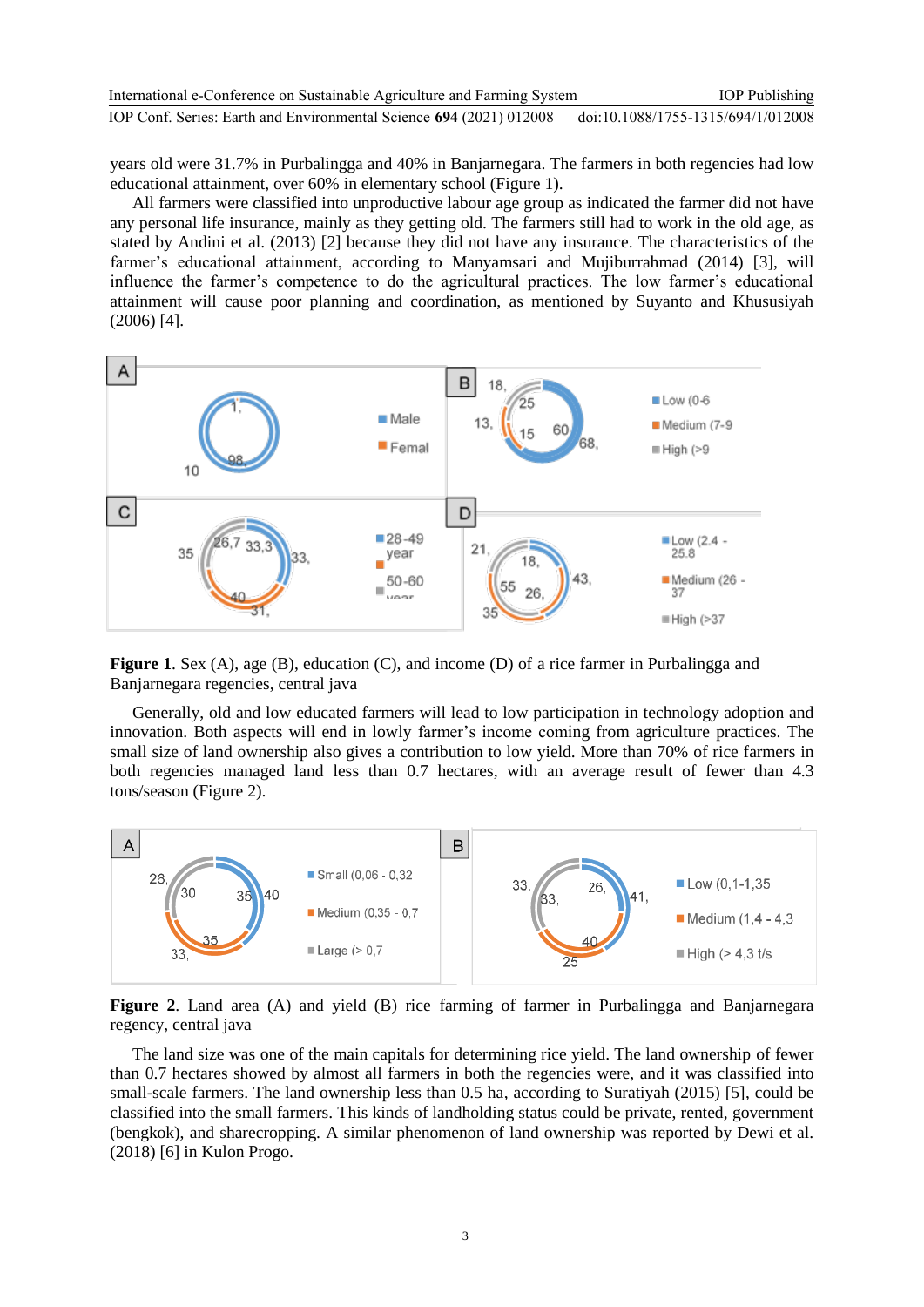years old were 31.7% in Purbalingga and 40% in Banjarnegara. The farmers in both regencies had low educational attainment, over 60% in elementary school (Figure 1).

All farmers were classified into unproductive labour age group as indicated the farmer did not have any personal life insurance, mainly as they getting old. The farmers still had to work in the old age, as stated by Andini et al. (2013) [2] because they did not have any insurance. The characteristics of the farmer's educational attainment, according to Manyamsari and Mujiburrahmad (2014) [3], will influence the farmer's competence to do the agricultural practices. The low farmer's educational attainment will cause poor planning and coordination, as mentioned by Suyanto and Khususiyah (2006) [4].



**Figure 1**. Sex (A), age (B), education (C), and income (D) of a rice farmer in Purbalingga and Banjarnegara regencies, central java

Generally, old and low educated farmers will lead to low participation in technology adoption and innovation. Both aspects will end in lowly farmer's income coming from agriculture practices. The small size of land ownership also gives a contribution to low yield. More than 70% of rice farmers in both regencies managed land less than 0.7 hectares, with an average result of fewer than 4.3 tons/season (Figure 2).



**Figure 2**. Land area (A) and yield (B) rice farming of farmer in Purbalingga and Banjarnegara regency, central java

The land size was one of the main capitals for determining rice yield. The land ownership of fewer than 0.7 hectares showed by almost all farmers in both the regencies were, and it was classified into small-scale farmers. The land ownership less than 0.5 ha, according to Suratiyah (2015) [5], could be classified into the small farmers. This kinds of landholding status could be private, rented, government (bengkok), and sharecropping. A similar phenomenon of land ownership was reported by Dewi et al. (2018) [6] in Kulon Progo.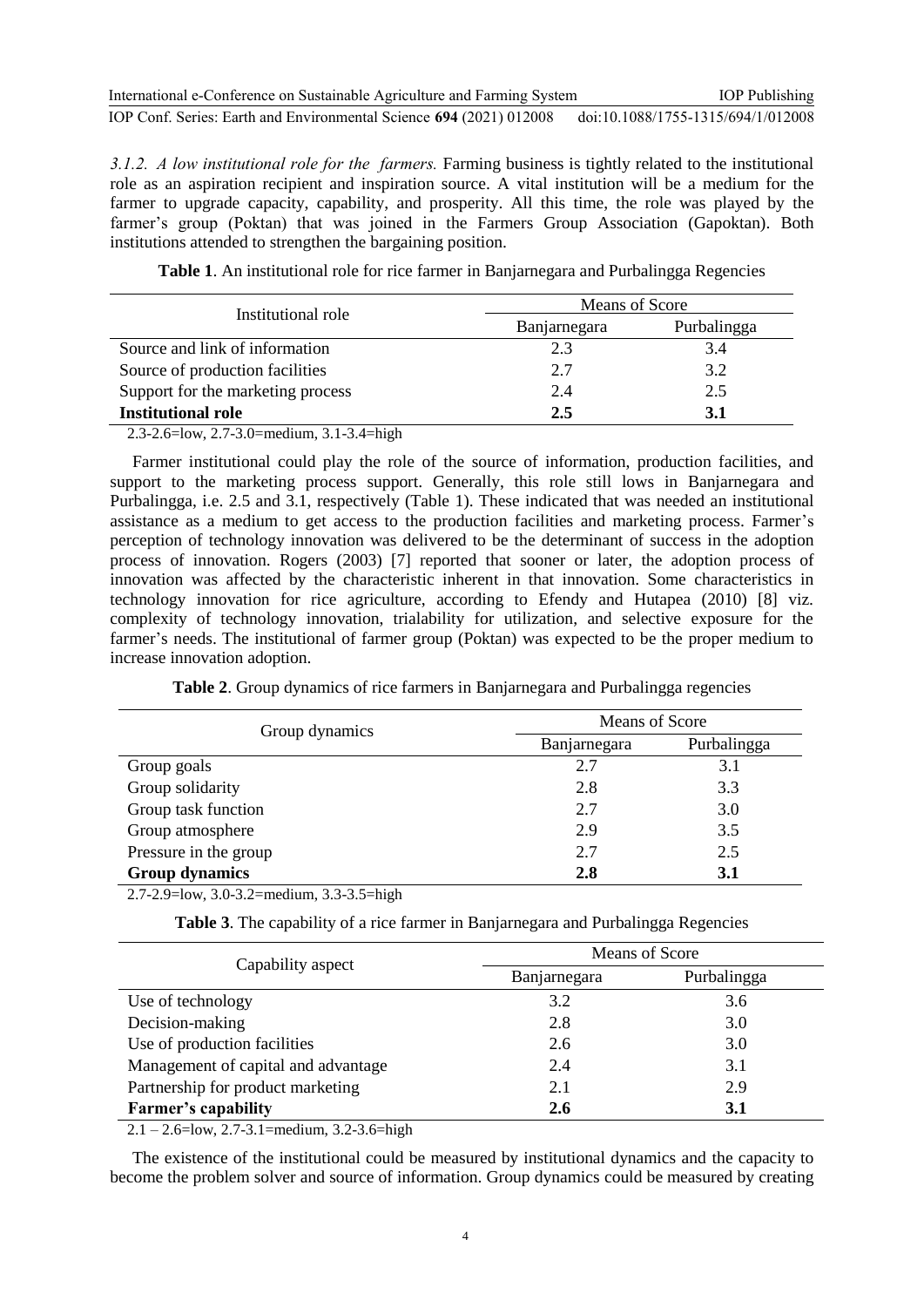| International e-Conference on Sustainable Agriculture and Farming System | <b>IOP</b> Publishing              |
|--------------------------------------------------------------------------|------------------------------------|
| IOP Conf. Series: Earth and Environmental Science 694 (2021) 012008      | doi:10.1088/1755-1315/694/1/012008 |

*3.1.2. A low institutional role for the farmers.* Farming business is tightly related to the institutional role as an aspiration recipient and inspiration source. A vital institution will be a medium for the farmer to upgrade capacity, capability, and prosperity. All this time, the role was played by the farmer's group (Poktan) that was joined in the Farmers Group Association (Gapoktan). Both institutions attended to strengthen the bargaining position.

| Table 1. An institutional role for rice farmer in Banjarnegara and Purbalingga Regencies |  |
|------------------------------------------------------------------------------------------|--|
|------------------------------------------------------------------------------------------|--|

| Institutional role                |              | Means of Score |  |  |
|-----------------------------------|--------------|----------------|--|--|
|                                   | Banjarnegara | Purbalingga    |  |  |
| Source and link of information    | 2.3          | 3.4            |  |  |
| Source of production facilities   | 2.7          | 3.2            |  |  |
| Support for the marketing process | 2.4          | 2.5            |  |  |
| <b>Institutional role</b>         | 2.5          | 3.1            |  |  |

2.3-2.6=low, 2.7-3.0=medium, 3.1-3.4=high

Farmer institutional could play the role of the source of information, production facilities, and support to the marketing process support. Generally, this role still lows in Banjarnegara and Purbalingga, i.e. 2.5 and 3.1, respectively (Table 1). These indicated that was needed an institutional assistance as a medium to get access to the production facilities and marketing process. Farmer's perception of technology innovation was delivered to be the determinant of success in the adoption process of innovation. Rogers (2003) [7] reported that sooner or later, the adoption process of innovation was affected by the characteristic inherent in that innovation. Some characteristics in technology innovation for rice agriculture, according to Efendy and Hutapea (2010) [8] viz. complexity of technology innovation, trialability for utilization, and selective exposure for the farmer's needs. The institutional of farmer group (Poktan) was expected to be the proper medium to increase innovation adoption.

|  |  |  | Table 2. Group dynamics of rice farmers in Banjarnegara and Purbalingga regencies |  |
|--|--|--|-----------------------------------------------------------------------------------|--|
|  |  |  |                                                                                   |  |

| Group dynamics        | Means of Score |             |  |
|-----------------------|----------------|-------------|--|
|                       | Banjarnegara   | Purbalingga |  |
| Group goals           | 2.7            | 3.1         |  |
| Group solidarity      | 2.8            | 3.3         |  |
| Group task function   | 2.7            | 3.0         |  |
| Group atmosphere      | 2.9            | 3.5         |  |
| Pressure in the group | 2.7            | 2.5         |  |
| <b>Group dynamics</b> | 2.8            | <b>3.1</b>  |  |

2.7-2.9=low, 3.0-3.2=medium, 3.3-3.5=high

**Table 3**. The capability of a rice farmer in Banjarnegara and Purbalingga Regencies

| Capability aspect                   | Means of Score |             |  |
|-------------------------------------|----------------|-------------|--|
|                                     | Banjarnegara   | Purbalingga |  |
| Use of technology                   | 3.2            | 3.6         |  |
| Decision-making                     | 2.8            | 3.0         |  |
| Use of production facilities        | 2.6            | 3.0         |  |
| Management of capital and advantage | 2.4            | 3.1         |  |
| Partnership for product marketing   | 2.1            | 2.9         |  |
| <b>Farmer's capability</b>          | 2.6            | 3.1         |  |

2.1 – 2.6=low, 2.7-3.1=medium, 3.2-3.6=high

The existence of the institutional could be measured by institutional dynamics and the capacity to become the problem solver and source of information. Group dynamics could be measured by creating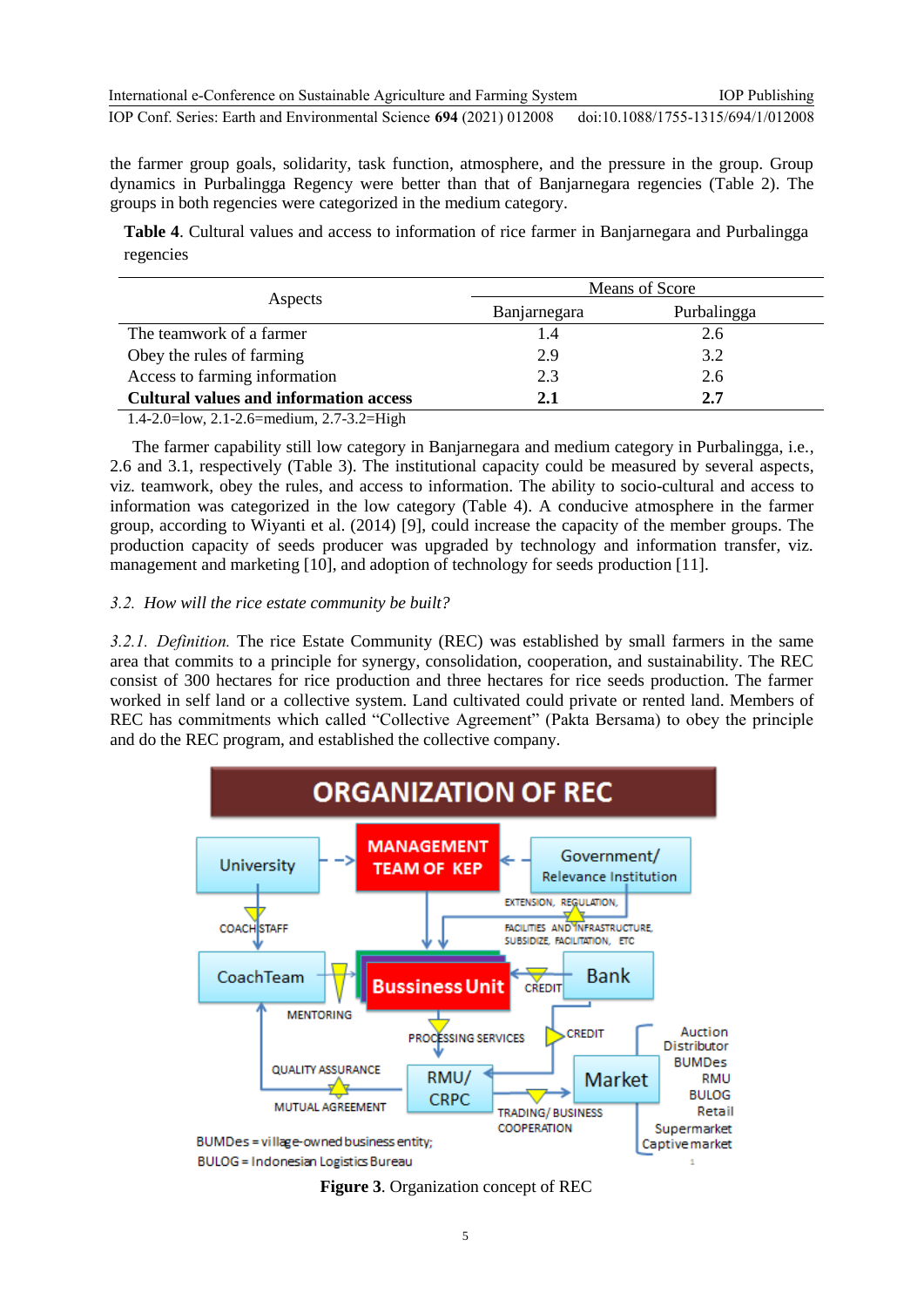the farmer group goals, solidarity, task function, atmosphere, and the pressure in the group. Group dynamics in Purbalingga Regency were better than that of Banjarnegara regencies (Table 2). The groups in both regencies were categorized in the medium category.

**Table 4**. Cultural values and access to information of rice farmer in Banjarnegara and Purbalingga regencies

|                                               | Means of Score |             |  |
|-----------------------------------------------|----------------|-------------|--|
| Aspects                                       | Banjarnegara   | Purbalingga |  |
| The teamwork of a farmer                      | 4. ا           | 2.6         |  |
| Obey the rules of farming                     | 2.9            | 3.2         |  |
| Access to farming information                 | 2.3            | 2.6         |  |
| <b>Cultural values and information access</b> | 2.1            | 2.7         |  |

1.4-2.0=low, 2.1-2.6=medium, 2.7-3.2=High

The farmer capability still low category in Banjarnegara and medium category in Purbalingga, i.e., 2.6 and 3.1, respectively (Table 3). The institutional capacity could be measured by several aspects, viz. teamwork, obey the rules, and access to information. The ability to socio-cultural and access to information was categorized in the low category (Table 4). A conducive atmosphere in the farmer group, according to Wiyanti et al. (2014) [9], could increase the capacity of the member groups. The production capacity of seeds producer was upgraded by technology and information transfer, viz. management and marketing [10], and adoption of technology for seeds production [11].

## *3.2. How will the rice estate community be built?*

*3.2.1. Definition.* The rice Estate Community (REC) was established by small farmers in the same area that commits to a principle for synergy, consolidation, cooperation, and sustainability. The REC consist of 300 hectares for rice production and three hectares for rice seeds production. The farmer worked in self land or a collective system. Land cultivated could private or rented land. Members of REC has commitments which called "Collective Agreement" (Pakta Bersama) to obey the principle and do the REC program, and established the collective company.



**Figure 3**. Organization concept of REC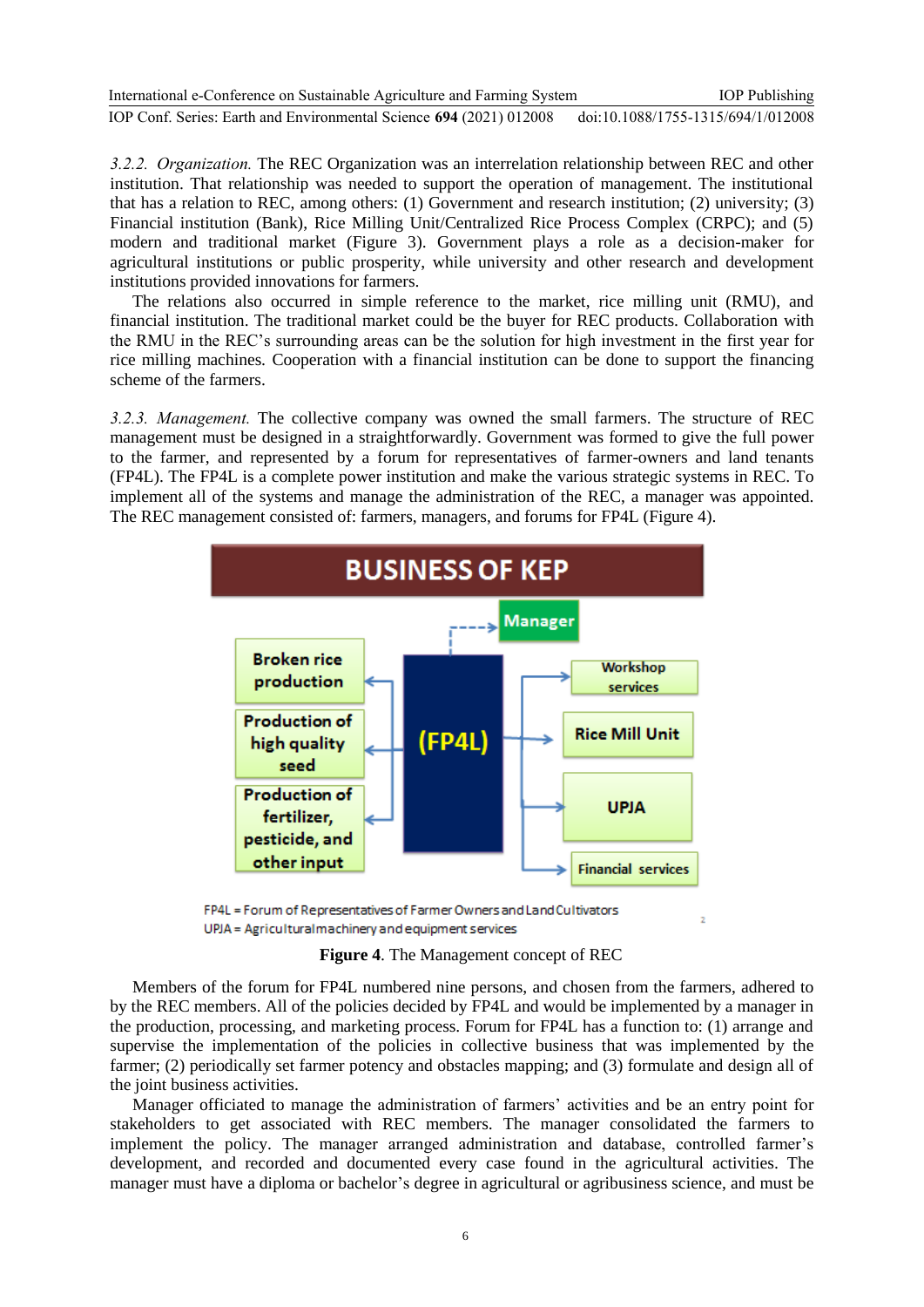| International e-Conference on Sustainable Agriculture and Farming System | <b>IOP</b> Publishing              |
|--------------------------------------------------------------------------|------------------------------------|
| IOP Conf. Series: Earth and Environmental Science 694 (2021) 012008      | doi:10.1088/1755-1315/694/1/012008 |

*3.2.2. Organization.* The REC Organization was an interrelation relationship between REC and other institution. That relationship was needed to support the operation of management. The institutional that has a relation to REC, among others: (1) Government and research institution; (2) university; (3) Financial institution (Bank), Rice Milling Unit/Centralized Rice Process Complex (CRPC); and (5) modern and traditional market (Figure 3). Government plays a role as a decision-maker for agricultural institutions or public prosperity, while university and other research and development institutions provided innovations for farmers.

The relations also occurred in simple reference to the market, rice milling unit (RMU), and financial institution. The traditional market could be the buyer for REC products. Collaboration with the RMU in the REC's surrounding areas can be the solution for high investment in the first year for rice milling machines*.* Cooperation with a financial institution can be done to support the financing scheme of the farmers.

*3.2.3. Management.* The collective company was owned the small farmers. The structure of REC management must be designed in a straightforwardly. Government was formed to give the full power to the farmer, and represented by a forum for representatives of farmer-owners and land tenants (FP4L). The FP4L is a complete power institution and make the various strategic systems in REC. To implement all of the systems and manage the administration of the REC, a manager was appointed. The REC management consisted of: farmers, managers, and forums for FP4L (Figure 4).



FP4L = Forum of Representatives of Farmer Owners and Land Cultivators UPJA = Agriculturalmachinery and equipment services

**Figure 4**. The Management concept of REC

Members of the forum for FP4L numbered nine persons, and chosen from the farmers, adhered to by the REC members. All of the policies decided by FP4L and would be implemented by a manager in the production, processing, and marketing process. Forum for FP4L has a function to: (1) arrange and supervise the implementation of the policies in collective business that was implemented by the farmer; (2) periodically set farmer potency and obstacles mapping; and (3) formulate and design all of the joint business activities.

Manager officiated to manage the administration of farmers' activities and be an entry point for stakeholders to get associated with REC members. The manager consolidated the farmers to implement the policy. The manager arranged administration and database, controlled farmer's development, and recorded and documented every case found in the agricultural activities. The manager must have a diploma or bachelor's degree in agricultural or agribusiness science, and must be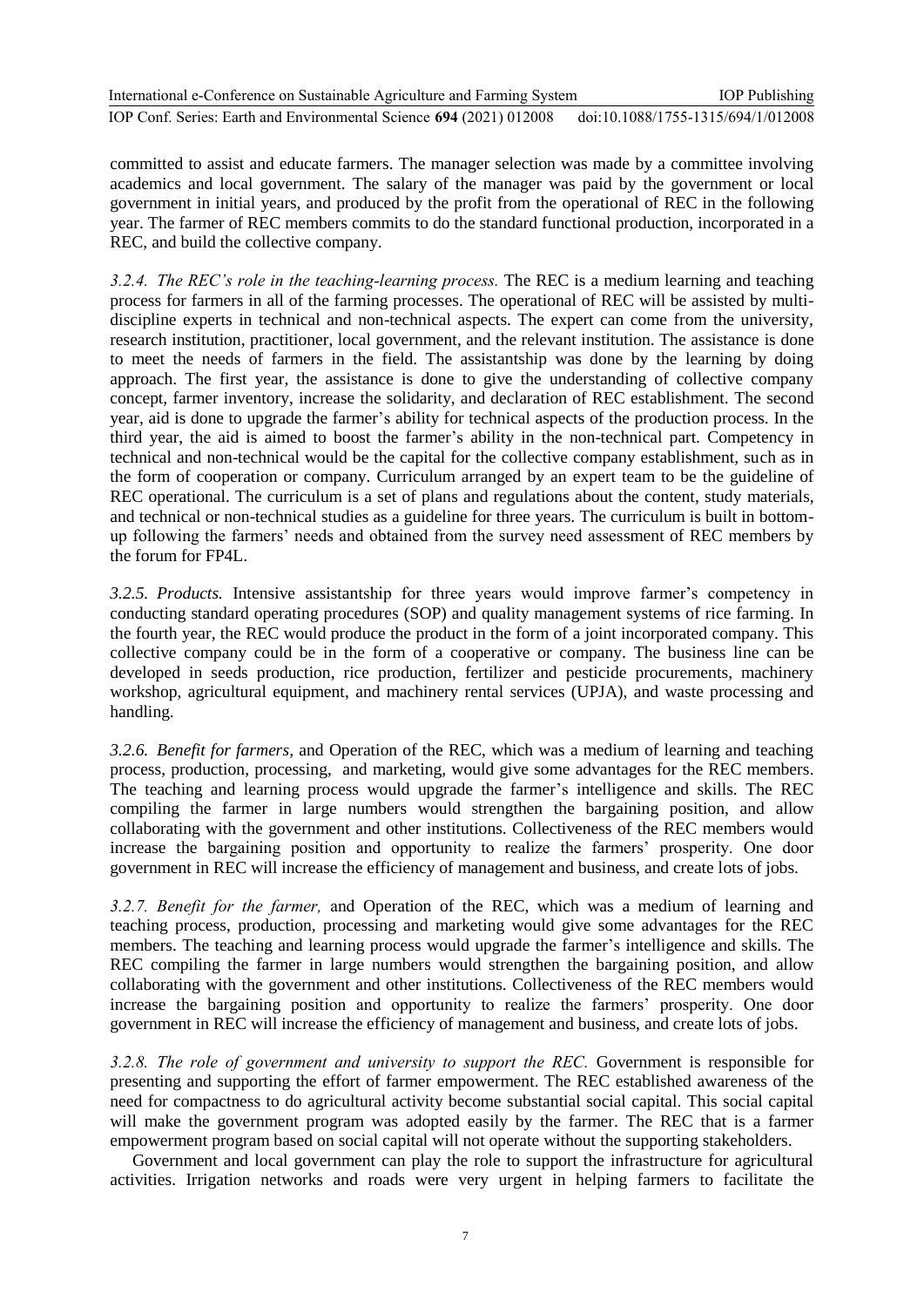International e-Conference on Sustainable Agriculture and Farming System IOP Conf. Series: Earth and Environmental Science **694** (2021) 012008 IOP Publishing doi:10.1088/1755-1315/694/1/012008

committed to assist and educate farmers. The manager selection was made by a committee involving academics and local government. The salary of the manager was paid by the government or local government in initial years, and produced by the profit from the operational of REC in the following year. The farmer of REC members commits to do the standard functional production, incorporated in a REC, and build the collective company.

*3.2.4. The REC's role in the teaching-learning process.* The REC is a medium learning and teaching process for farmers in all of the farming processes. The operational of REC will be assisted by multidiscipline experts in technical and non-technical aspects. The expert can come from the university, research institution, practitioner, local government, and the relevant institution. The assistance is done to meet the needs of farmers in the field. The assistantship was done by the learning by doing approach. The first year, the assistance is done to give the understanding of collective company concept, farmer inventory, increase the solidarity, and declaration of REC establishment. The second year, aid is done to upgrade the farmer's ability for technical aspects of the production process. In the third year, the aid is aimed to boost the farmer's ability in the non-technical part. Competency in technical and non-technical would be the capital for the collective company establishment, such as in the form of cooperation or company. Curriculum arranged by an expert team to be the guideline of REC operational. The curriculum is a set of plans and regulations about the content, study materials, and technical or non-technical studies as a guideline for three years. The curriculum is built in bottomup following the farmers' needs and obtained from the survey need assessment of REC members by the forum for FP4L.

*3.2.5. Products.* Intensive assistantship for three years would improve farmer's competency in conducting standard operating procedures (SOP) and quality management systems of rice farming. In the fourth year, the REC would produce the product in the form of a joint incorporated company. This collective company could be in the form of a cooperative or company. The business line can be developed in seeds production, rice production, fertilizer and pesticide procurements, machinery workshop, agricultural equipment, and machinery rental services (UPJA), and waste processing and handling.

*3.2.6. Benefit for farmers,* and Operation of the REC, which was a medium of learning and teaching process, production, processing, and marketing, would give some advantages for the REC members. The teaching and learning process would upgrade the farmer's intelligence and skills. The REC compiling the farmer in large numbers would strengthen the bargaining position, and allow collaborating with the government and other institutions. Collectiveness of the REC members would increase the bargaining position and opportunity to realize the farmers' prosperity. One door government in REC will increase the efficiency of management and business, and create lots of jobs.

*3.2.7. Benefit for the farmer,* and Operation of the REC, which was a medium of learning and teaching process, production, processing and marketing would give some advantages for the REC members. The teaching and learning process would upgrade the farmer's intelligence and skills. The REC compiling the farmer in large numbers would strengthen the bargaining position, and allow collaborating with the government and other institutions. Collectiveness of the REC members would increase the bargaining position and opportunity to realize the farmers' prosperity. One door government in REC will increase the efficiency of management and business, and create lots of jobs.

*3.2.8. The role of government and university to support the REC.* Government is responsible for presenting and supporting the effort of farmer empowerment. The REC established awareness of the need for compactness to do agricultural activity become substantial social capital. This social capital will make the government program was adopted easily by the farmer. The REC that is a farmer empowerment program based on social capital will not operate without the supporting stakeholders.

Government and local government can play the role to support the infrastructure for agricultural activities. Irrigation networks and roads were very urgent in helping farmers to facilitate the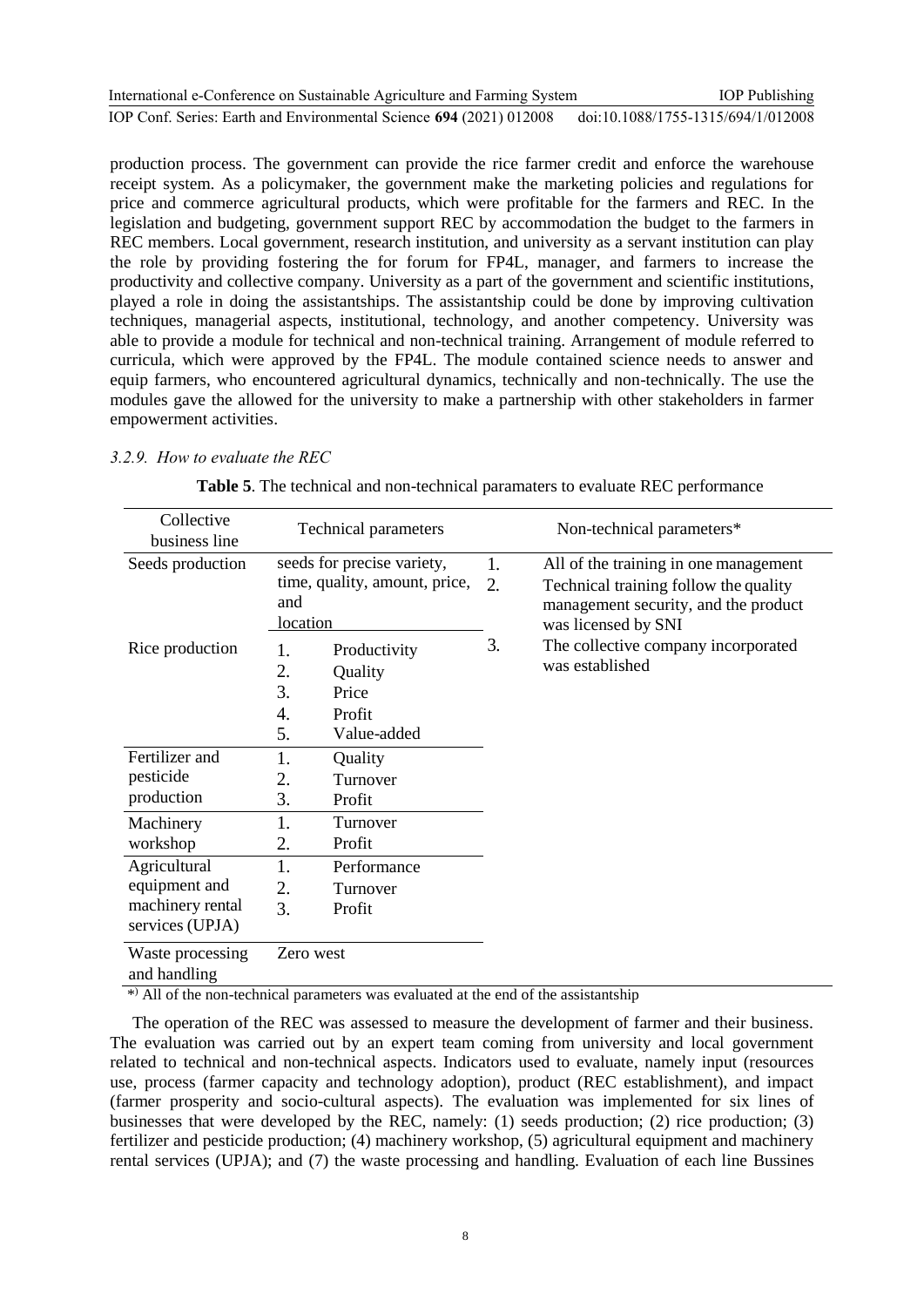| International e-Conference on Sustainable Agriculture and Farming System | <b>IOP</b> Publishing              |
|--------------------------------------------------------------------------|------------------------------------|
| IOP Conf. Series: Earth and Environmental Science 694 (2021) 012008      | doi:10.1088/1755-1315/694/1/012008 |

production process. The government can provide the rice farmer credit and enforce the warehouse receipt system. As a policymaker, the government make the marketing policies and regulations for price and commerce agricultural products, which were profitable for the farmers and REC. In the legislation and budgeting, government support REC by accommodation the budget to the farmers in REC members. Local government, research institution, and university as a servant institution can play the role by providing fostering the for forum for FP4L, manager, and farmers to increase the productivity and collective company. University as a part of the government and scientific institutions, played a role in doing the assistantships. The assistantship could be done by improving cultivation techniques, managerial aspects, institutional, technology, and another competency. University was able to provide a module for technical and non-technical training. Arrangement of module referred to curricula, which were approved by the FP4L. The module contained science needs to answer and equip farmers, who encountered agricultural dynamics, technically and non-technically. The use the modules gave the allowed for the university to make a partnership with other stakeholders in farmer empowerment activities.

#### *3.2.9. How to evaluate the REC*

| Collective<br>business line         | <b>Technical parameters</b>                      |  |    | Non-technical parameters*                                                                            |
|-------------------------------------|--------------------------------------------------|--|----|------------------------------------------------------------------------------------------------------|
| Seeds production                    | seeds for precise variety,                       |  | 1. | All of the training in one management                                                                |
|                                     | time, quality, amount, price,<br>and<br>location |  | 2. | Technical training follow the quality<br>management security, and the product<br>was licensed by SNI |
| Rice production                     | 1.<br>Productivity                               |  | 3. | The collective company incorporated                                                                  |
|                                     | 2.<br>Quality                                    |  |    | was established                                                                                      |
|                                     | 3.<br>Price                                      |  |    |                                                                                                      |
|                                     | 4.<br>Profit                                     |  |    |                                                                                                      |
|                                     | 5.<br>Value-added                                |  |    |                                                                                                      |
| Fertilizer and                      | 1.<br>Quality                                    |  |    |                                                                                                      |
| pesticide                           | 2.<br>Turnover                                   |  |    |                                                                                                      |
| production                          | 3.<br>Profit                                     |  |    |                                                                                                      |
| Machinery                           | 1.<br>Turnover                                   |  |    |                                                                                                      |
| workshop                            | 2.<br>Profit                                     |  |    |                                                                                                      |
| Agricultural                        | 1.<br>Performance                                |  |    |                                                                                                      |
| equipment and                       | 2.<br>Turnover                                   |  |    |                                                                                                      |
| machinery rental<br>services (UPJA) | 3.<br>Profit                                     |  |    |                                                                                                      |
| Waste processing<br>and handling    | Zero west                                        |  |    |                                                                                                      |

**Table 5**. The technical and non-technical paramaters to evaluate REC performance

\* ) All of the non-technical parameters was evaluated at the end of the assistantship

The operation of the REC was assessed to measure the development of farmer and their business. The evaluation was carried out by an expert team coming from university and local government related to technical and non-technical aspects. Indicators used to evaluate, namely input (resources use, process (farmer capacity and technology adoption), product (REC establishment), and impact (farmer prosperity and socio-cultural aspects). The evaluation was implemented for six lines of businesses that were developed by the REC, namely: (1) seeds production; (2) rice production; (3) fertilizer and pesticide production; (4) machinery workshop, (5) agricultural equipment and machinery rental services (UPJA); and (7) the waste processing and handling. Evaluation of each line Bussines